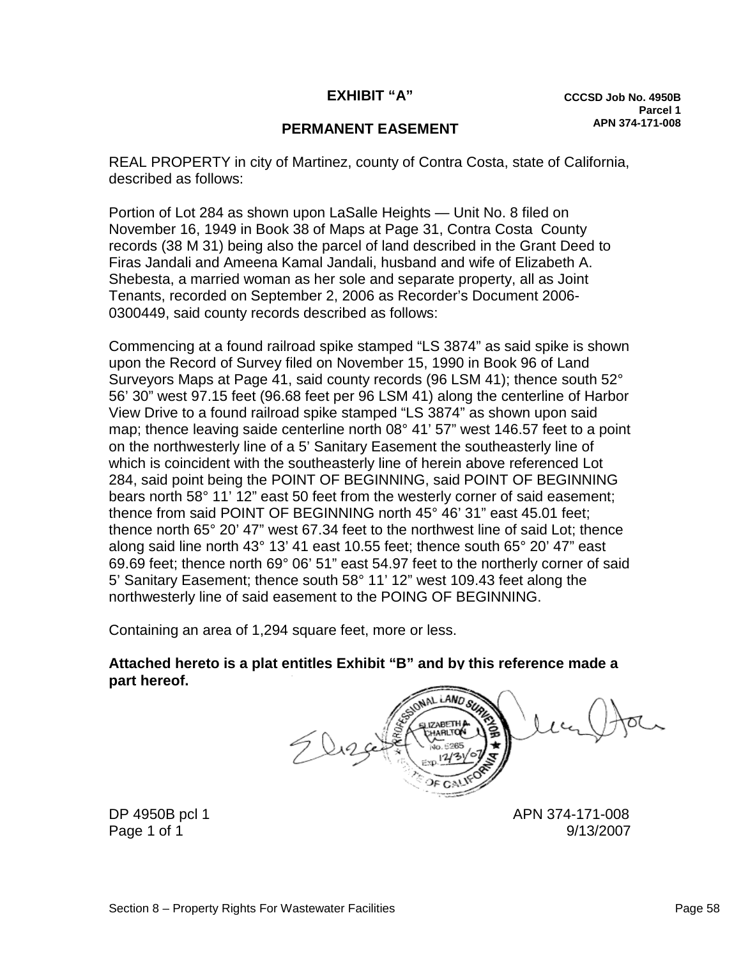## **EXHIBIT "A"**

## **PERMANENT EASEMENT**

REAL PROPERTY in city of Martinez, county of Contra Costa, state of California, described as follows:

Portion of Lot 284 as shown upon LaSalle Heights — Unit No. 8 filed on November 16, 1949 in Book 38 of Maps at Page 31, Contra Costa County records (38 M 31) being also the parcel of land described in the Grant Deed to Firas Jandali and Ameena Kamal Jandali, husband and wife of Elizabeth A. Shebesta, a married woman as her sole and separate property, all as Joint Tenants, recorded on September 2, 2006 as Recorder's Document 2006- 0300449, said county records described as follows:

Commencing at a found railroad spike stamped "LS 3874" as said spike is shown upon the Record of Survey filed on November 15, 1990 in Book 96 of Land Surveyors Maps at Page 41, said county records (96 LSM 41); thence south 52° 56' 30" west 97.15 feet (96.68 feet per 96 LSM 41) along the centerline of Harbor View Drive to a found railroad spike stamped "LS 3874" as shown upon said map; thence leaving saide centerline north 08° 41' 57" west 146.57 feet to a point on the northwesterly line of a 5' Sanitary Easement the southeasterly line of which is coincident with the southeasterly line of herein above referenced Lot 284, said point being the POINT OF BEGINNING, said POINT OF BEGINNING bears north 58° 11' 12" east 50 feet from the westerly corner of said easement; thence from said POINT OF BEGINNING north 45° 46' 31" east 45.01 feet; thence north 65° 20' 47" west 67.34 feet to the northwest line of said Lot; thence along said line north 43° 13' 41 east 10.55 feet; thence south 65° 20' 47" east 69.69 feet; thence north 69° 06' 51" east 54.97 feet to the northerly corner of said 5' Sanitary Easement; thence south 58° 11' 12" west 109.43 feet along the northwesterly line of said easement to the POING OF BEGINNING.

Containing an area of 1,294 square feet, more or less.

**Attached hereto is a plat entitles Exhibit "B" and by this reference made a part hereof.**

LAND SUR **17ARETH** 

DP 4950B pcl 1 APN 374-171-008 Page 1 of 1 9/13/2007